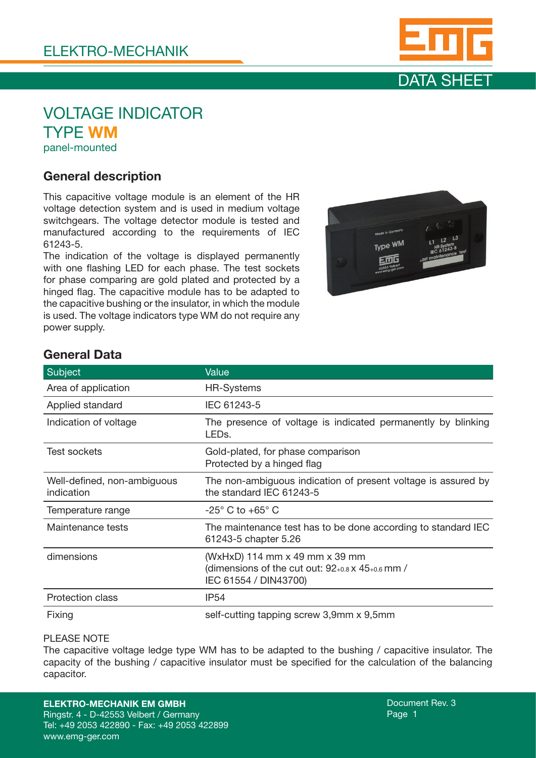



## VOLTAGE INDICATOR TYPE WM panel-mounted

### General description

This capacitive voltage module is an element of the HR voltage detection system and is used in medium voltage switchgears. The voltage detector module is tested and manufactured according to the requirements of IEC 61243-5.

The indication of the voltage is displayed permanently with one flashing LED for each phase. The test sockets for phase comparing are gold plated and protected by a hinged flag. The capacitive module has to be adapted to the capacitive bushing or the insulator, in which the module is used. The voltage indicators type WM do not require any power supply.



## General Data

| Subject                                   | Value                                                                                                             |
|-------------------------------------------|-------------------------------------------------------------------------------------------------------------------|
| Area of application                       | <b>HR-Systems</b>                                                                                                 |
| Applied standard                          | IEC 61243-5                                                                                                       |
| Indication of voltage                     | The presence of voltage is indicated permanently by blinking<br>LEDs.                                             |
| Test sockets                              | Gold-plated, for phase comparison<br>Protected by a hinged flag                                                   |
| Well-defined, non-ambiguous<br>indication | The non-ambiguous indication of present voltage is assured by<br>the standard IEC 61243-5                         |
| Temperature range                         | $-25^{\circ}$ C to $+65^{\circ}$ C                                                                                |
| Maintenance tests                         | The maintenance test has to be done according to standard IEC<br>61243-5 chapter 5.26                             |
| dimensions                                | (WxHxD) 114 mm x 49 mm x 39 mm<br>(dimensions of the cut out: $92$ +0.8 x $45$ +0.6 mm /<br>IEC 61554 / DIN43700) |
| <b>Protection class</b>                   | IP <sub>54</sub>                                                                                                  |
| Fixing                                    | self-cutting tapping screw 3,9mm x 9,5mm                                                                          |

#### PLEASE NOTE

The capacitive voltage ledge type WM has to be adapted to the bushing / capacitive insulator. The capacity of the bushing / capacitive insulator must be specified for the calculation of the balancing capacitor.

#### ELEKTRO-MECHANIK EM GMBH

Ringstr. 4 - D-42553 Velbert / Germany Tel: +49 2053 422890 - Fax: +49 2053 422899 www.emg-ger.com